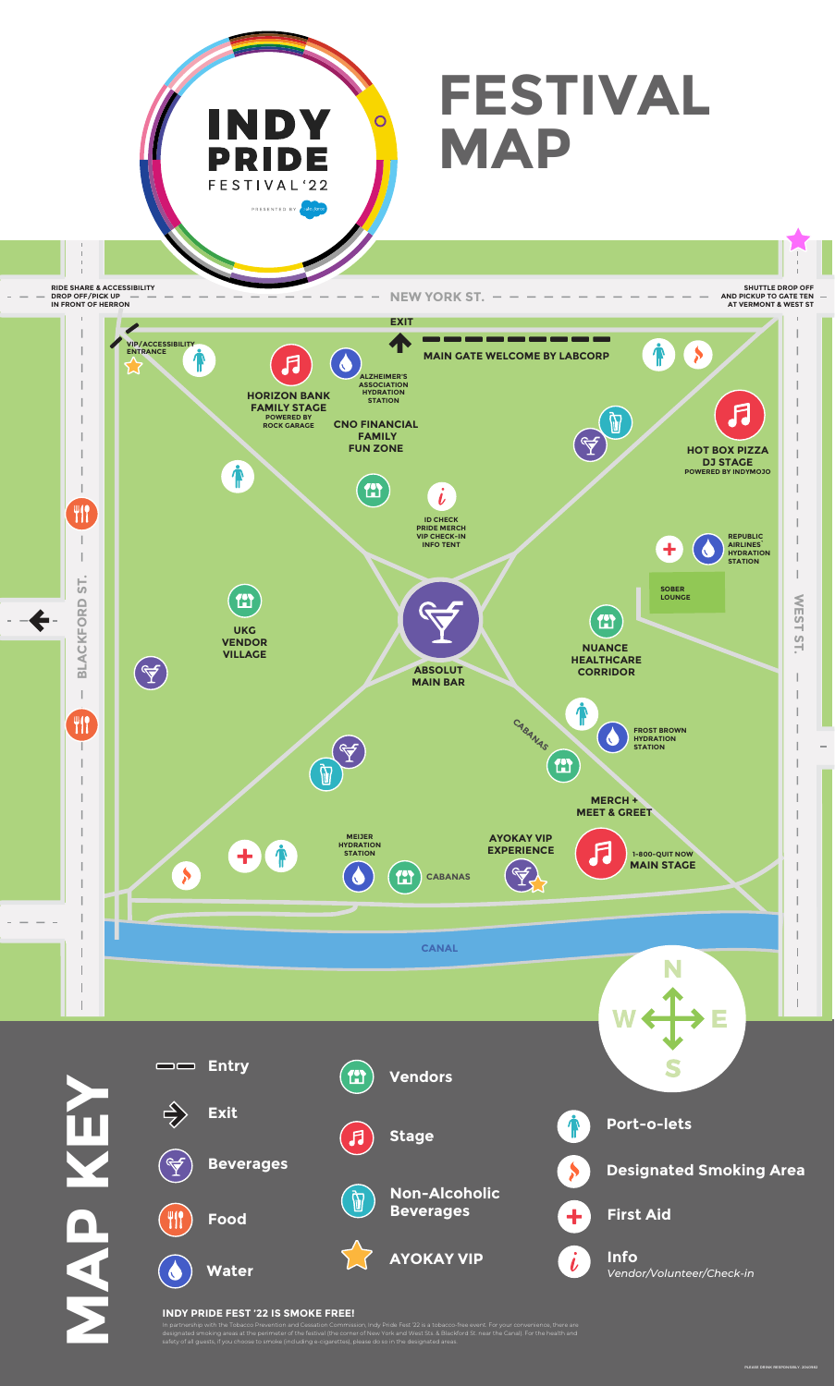

## **INDY PRIDE FEST '22 IS SMOKE FREE!**

In partnership with the Tobacco Prevention and Cessation Commission, Indy Pride Fest '22 is a tobacco-free event. For your convenience, there are designated smoking areas at the perimeter of the festival (the corner of New York and West Sts. & Blackford St. near the Canal). For the health and safety of all guests, if you choose to smoke (including e-cigarettes), please do so in the designated areas.